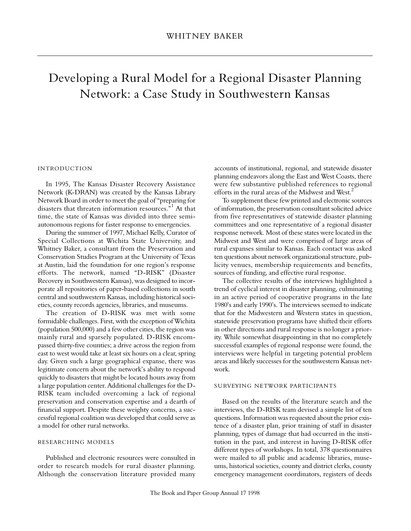# Developing a Rural Model for a Regional Disaster Planning Network: a Case Study in Southwestern Kansas

# IN TRODUCTION

In 1995, The Kansas Disaster Recovery Assistance Network (K-DRAN) was created by the Kansas Library Network Board in order to meet the goal of "preparing for disasters that threaten information resources."<sup>1</sup> At that time, the state of Kansas was divided into three semiautonomous regions for faster response to emergencies.

During the summer of 1997, Michael Kelly, Curator of Special Collections at Wichita State University, and Whitney Baker, a consultant from the Preservation and Conservation Studies Program at the University of Texas at Austin, laid the foundation for one region's response efforts. The network, named "D-RISK" (Disaster Recovery in Southwestern Kansas), was designed to incorporate all repositories of paper-based collections in south central and southwestern Kansas, including historical societies, county records agencies, libraries, and museums.

The creation of D-RISK was met with some formidable challenges. First, with the exception of Wichita (population 500,000) and a few other cities, the region was mainly rural and sparsely populated. D-RISK encompassed thirty-five counties; a drive across the region from east to west would take at least six hours on a clear, spring day. Given such a large geographical expanse, there was legitimate concern about the network's ability to respond quickly to disasters that might be located hours away from a large population center. Additional challenges for the D-RISK team included overcoming a lack of regional preservation and conservation expertise and a dearth of financial support. Despite these weighty concerns, a successful regional coalition was developed that could serve as a model for other rural networks.

#### RESEARCHING MODELS

Published and electronic resources were consulted in order to research models for rural disaster planning. Although the conservation literature provided many accounts of institutional, regional, and statewide disaster planning endeavors along the East and West Coasts, there were few substantive published references to regional efforts in the rural areas of the Midwest and West.<sup>2</sup>

To supplement these few printed and electronic sources of information, the preservation consultant solicited advice from five representatives of statewide disaster planning committees and one representative of a regional disaster response network. Most of these states were located in the Midwest and West and were comprised of large areas of rural expanses similar to Kansas. Each contact was asked ten questions about network organizational structure, publicity venues, membership requirements and benefits, sources of funding, and effective rural response.

The collective results of the interviews highlighted a trend of cyclical interest in disaster planning, culminating in an active period of cooperative programs in the late 1980's and early 1990's. The interviews seemed to indicate that for the Midwestern and Western states in question, statewide preservation programs have shifted their efforts in other directions and rural response is no longer a priority. While somewhat disappointing in that no completely successful examples of regional response were found, the interviews were helpful in targeting potential problem areas and likely successes for the southwestern Kansas network.

#### SURVEYING NETWORK PARTICIPANTS

Based on the results of the literature search and the interviews, the D-RISK team devised a simple list of ten questions. Information was requested about the prior existence of a disaster plan, prior training of staff in disaster planning, types of damage that had occurred in the institution in the past, and interest in having D-RISK offer different types of workshops. In total, 378 questionnaires were mailed to all public and academic libraries, museums, historical societies, county and district clerks, county emergency management coordinators, registers of deeds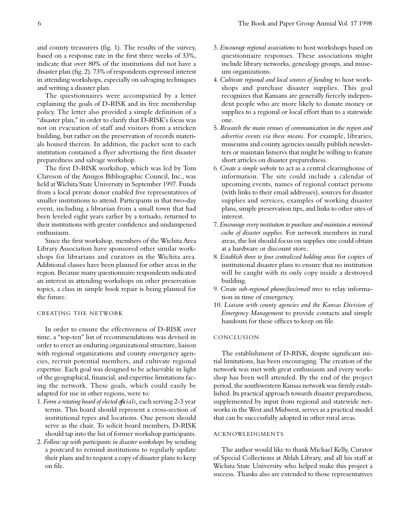and county treasurers (fig. 1). The results of the survey, based on a response rate in the first three weeks of 33%, indicate that over 80% of the institutions did not have a disaster plan (fig. 2). 73% of respondents expressed interest in attending workshops, especially on salvaging techniques and writing a disaster plan.

The questionnaires were accompanied by a letter explaining the goals of D-RISK and its free membership policy. The letter also provided a simple definition of a "disaster plan," in order to clarify that D-RISK's focus was not on evacuation of staff and visitors from a stricken building, but rather on the preservation of records materials housed therein. In addition, the packet sent to each institution contained a flyer advertising the first disaster preparedness and salvage workshop.

The first D-RISK workshop, which was led by Tom Clareson of the Amigos Bibliographic Council, Inc., was held at Wichita State University in September 1997. Funds from a local private donor enabled five representatives of smaller institutions to attend. Participants in that two-day event, including a librarian from a small town that had been leveled eight years earlier by a tornado, returned to their institutions with greater confidence and undampened enthusiasm.

Since the first workshop, members of the Wichita Area Library Association have sponsored other similar workshops for librarians and curators in the Wichita area. Additional classes have been planned for other areas in the region. Because many questionnaire respondents indicated an interest in attending workshops on other preservation topics, a class in simple book repair is being planned for the future.

## CREATING THE NETWORK

In order to ensure the effectiveness of D-RISK over time, a "top-ten" list of recommendations was devised in order to erect an enduring organizational structure, liaison with regional organizations and county emergency agencies, recruit potential members, and cultivate regional expertise. Each goal was designed to be achievable in light of the geographical, financial, and expertise limitations facing the network. These goals, which could easily be adapted for use in other regions, were to:

- 1. Form a rotating board of elected officials, each serving 2-3 year terms. This board should represent a cross-section of institutional types and locations. One person should serve as the chair. To solicit board members, D-RISK should tap into the list of former workshop participants.
- 2. *Follow up with participants in disaster workshops* by sending a postcard to remind institutions to regularly update their plans and to request a copy of disaster plans to keep on file.
- 3. *Encourage regional associations* to host workshops based on questionnaire responses. These associations might include library networks, genealogy groups, and museum organizations.
- 4. *Cultivate regional and local sources of funding* to host workshops and purchase disaster supplies. This goal recognizes that Kansans are generally fiercely independent people who are more likely to donate money or supplies to a regional or local effort than to a statewide one.
- 5. *Research the main venues of communication in the region and advertise events via these means.* For example, libraries, museums and county agencies usually publish newsletters or maintain listservs that might be willing to feature short articles on disaster preparedness.
- 6. *Create a simple website* to act as a central clearinghouse of information. The site could include a calendar of upcoming events, names of regional contact persons (with links to their email addresses), sources for disaster supplies and services, examples of working disaster plans, simple preservation tips, and links to other sites of interest.
- 7. *Encourage every institution to purchase and maintain a minimal cache of disaster supplies.* For network members in rural areas, the list should focus on supplies one could obtain at a hardware or discount store.
- 8. *Establish three to four centralized holding areas* for copies of institutional disaster plans to ensure that no institution will be caught with its only copy inside a destroyed building.
- 9. *Create sub-regional phone/fax/email trees* to relay information in time of emergency.
- 10. *Liaison with county agencies and the Kansas Division of Emergency Management* to provide contacts and simple handouts for these offices to keep on file.

#### **CONCLUSION**

The establishment of D-RISK, despite significant initial limitations, has been encouraging. The creation of the network was met with great enthusiasm and every workshop has been well attended. By the end of the project period, the southwestern Kansas network was firmly established. Its practical approach towards disaster preparedness, supplemented by input from regional and statewide networks in the West and Midwest, serves as a practical model that can be successfully adopted in other rural areas.

# AC KNOWLED GMENTS

The author would like to thank Michael Kelly, Curator of Special Collections at Ablah Library, and all his staff at Wichita State University who helped make this project a success. Thanks also are extended to those representatives